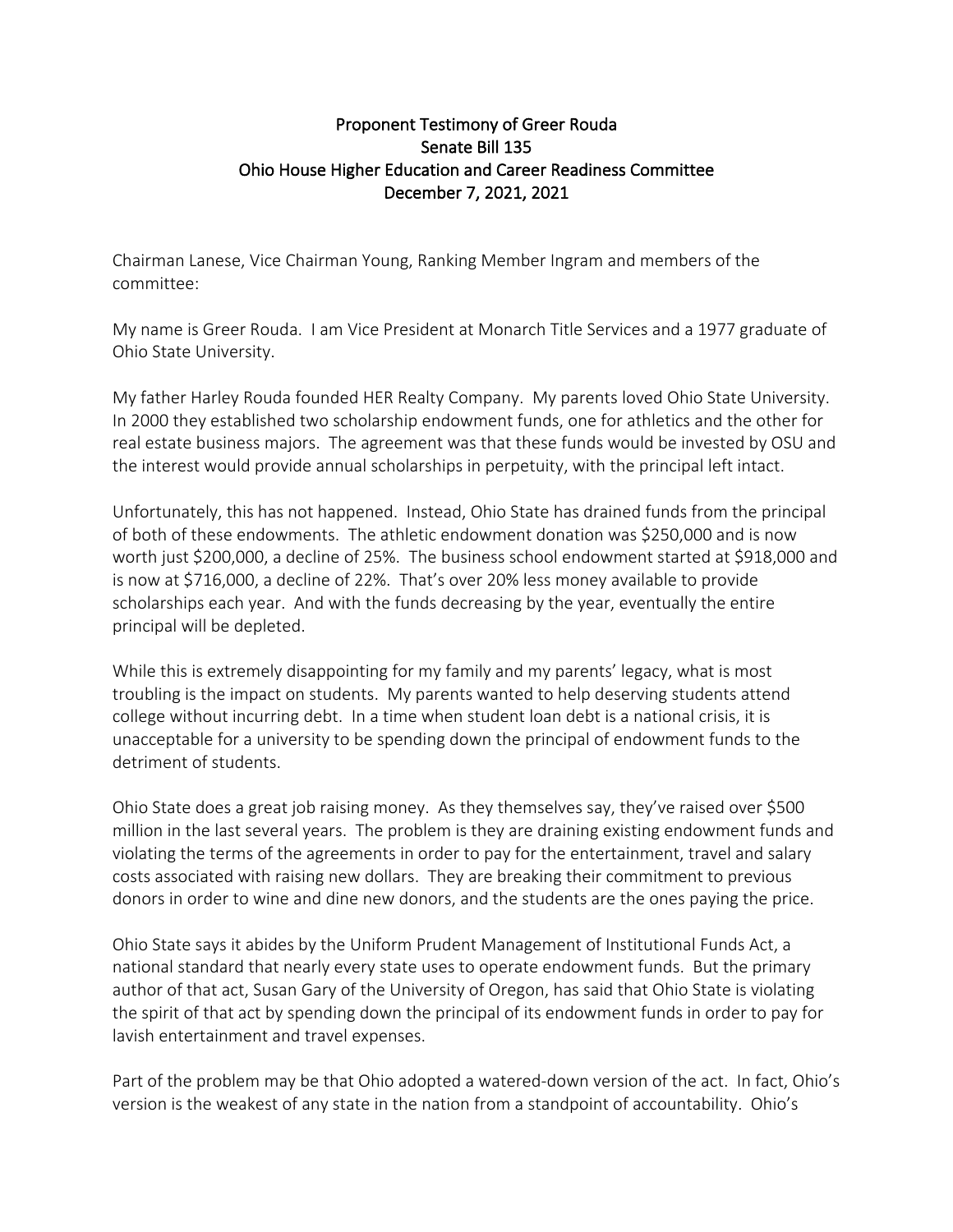## Proponent Testimony of Greer Rouda Senate Bill 135 Ohio House Higher Education and Career Readiness Committee December 7, 2021, 2021

Chairman Lanese, Vice Chairman Young, Ranking Member Ingram and members of the committee:

My name is Greer Rouda. I am Vice President at Monarch Title Services and a 1977 graduate of Ohio State University.

My father Harley Rouda founded HER Realty Company. My parents loved Ohio State University. In 2000 they established two scholarship endowment funds, one for athletics and the other for real estate business majors. The agreement was that these funds would be invested by OSU and the interest would provide annual scholarships in perpetuity, with the principal left intact.

Unfortunately, this has not happened. Instead, Ohio State has drained funds from the principal of both of these endowments. The athletic endowment donation was \$250,000 and is now worth just \$200,000, a decline of 25%. The business school endowment started at \$918,000 and is now at \$716,000, a decline of 22%. That's over 20% less money available to provide scholarships each year. And with the funds decreasing by the year, eventually the entire principal will be depleted.

While this is extremely disappointing for my family and my parents' legacy, what is most troubling is the impact on students. My parents wanted to help deserving students attend college without incurring debt. In a time when student loan debt is a national crisis, it is unacceptable for a university to be spending down the principal of endowment funds to the detriment of students.

Ohio State does a great job raising money. As they themselves say, they've raised over \$500 million in the last several years. The problem is they are draining existing endowment funds and violating the terms of the agreements in order to pay for the entertainment, travel and salary costs associated with raising new dollars. They are breaking their commitment to previous donors in order to wine and dine new donors, and the students are the ones paying the price.

Ohio State says it abides by the Uniform Prudent Management of Institutional Funds Act, a national standard that nearly every state uses to operate endowment funds. But the primary author of that act, Susan Gary of the University of Oregon, has said that Ohio State is violating the spirit of that act by spending down the principal of its endowment funds in order to pay for lavish entertainment and travel expenses.

Part of the problem may be that Ohio adopted a watered-down version of the act. In fact, Ohio's version is the weakest of any state in the nation from a standpoint of accountability. Ohio's